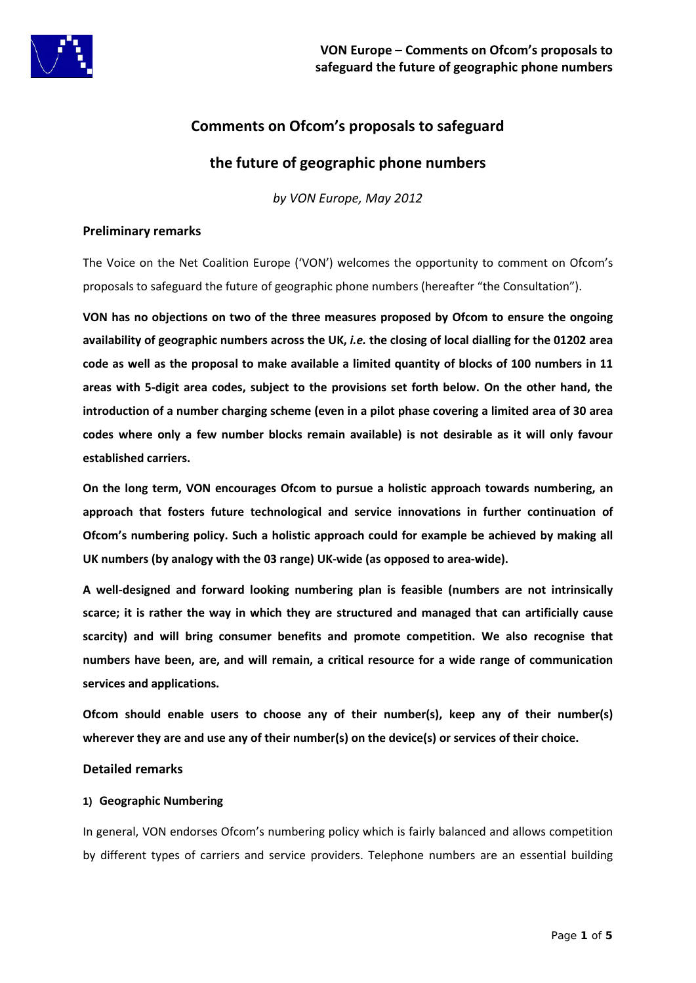

# **Comments on Ofcom's proposals to safeguard**

# **the future of geographic phone numbers**

*by VON Europe, May 2012*

#### **Preliminary remarks**

The Voice on the Net Coalition Europe ('VON') welcomes the opportunity to comment on Ofcom's proposals to safeguard the future of geographic phone numbers (hereafter "the Consultation").

**VON has no objections on two of the three measures proposed by Ofcom to ensure the ongoing availability of geographic numbers across the UK,** *i.e.* **the closing of local dialling for the 01202 area code as well as the proposal to make available a limited quantity of blocks of 100 numbers in 11 areas with 5-digit area codes, subject to the provisions set forth below. On the other hand, the introduction of a number charging scheme (even in a pilot phase covering a limited area of 30 area codes where only a few number blocks remain available) is not desirable as it will only favour established carriers.**

**On the long term, VON encourages Ofcom to pursue a holistic approach towards numbering, an approach that fosters future technological and service innovations in further continuation of Ofcom's numbering policy. Such a holistic approach could for example be achieved by making all UK numbers (by analogy with the 03 range) UK-wide (as opposed to area-wide).**

**A well-designed and forward looking numbering plan is feasible (numbers are not intrinsically scarce; it is rather the way in which they are structured and managed that can artificially cause scarcity) and will bring consumer benefits and promote competition. We also recognise that numbers have been, are, and will remain, a critical resource for a wide range of communication services and applications.**

**Ofcom should enable users to choose any of their number(s), keep any of their number(s) wherever they are and use any of their number(s) on the device(s) or services of their choice.**

#### **Detailed remarks**

#### **1) Geographic Numbering**

In general, VON endorses Ofcom's numbering policy which is fairly balanced and allows competition by different types of carriers and service providers. Telephone numbers are an essential building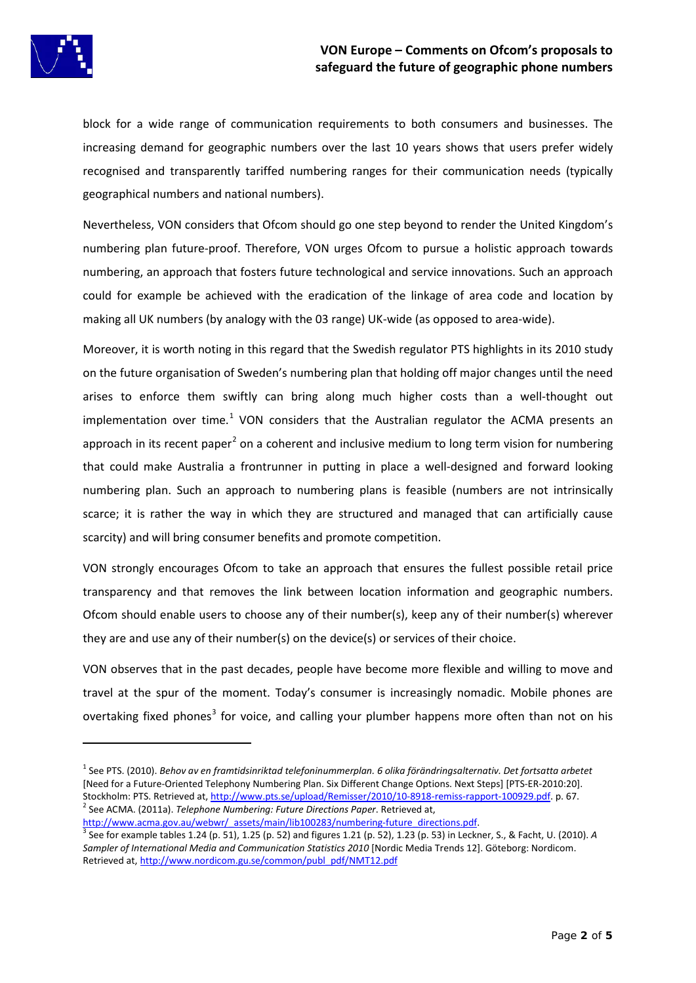# **VON Europe – Comments on Ofcom's proposals to safeguard the future of geographic phone numbers**



**.** 

block for a wide range of communication requirements to both consumers and businesses. The increasing demand for geographic numbers over the last 10 years shows that users prefer widely recognised and transparently tariffed numbering ranges for their communication needs (typically geographical numbers and national numbers).

Nevertheless, VON considers that Ofcom should go one step beyond to render the United Kingdom's numbering plan future-proof. Therefore, VON urges Ofcom to pursue a holistic approach towards numbering, an approach that fosters future technological and service innovations. Such an approach could for example be achieved with the eradication of the linkage of area code and location by making all UK numbers (by analogy with the 03 range) UK-wide (as opposed to area-wide).

Moreover, it is worth noting in this regard that the Swedish regulator PTS highlights in its 2010 study on the future organisation of Sweden's numbering plan that holding off major changes until the need arises to enforce them swiftly can bring along much higher costs than a well-thought out implementation over time.<sup>[1](#page-1-0)</sup> VON considers that the Australian regulator the ACMA presents an approach in its recent paper<sup>[2](#page-1-1)</sup> on a coherent and inclusive medium to long term vision for numbering that could make Australia a frontrunner in putting in place a well-designed and forward looking numbering plan. Such an approach to numbering plans is feasible (numbers are not intrinsically scarce; it is rather the way in which they are structured and managed that can artificially cause scarcity) and will bring consumer benefits and promote competition.

VON strongly encourages Ofcom to take an approach that ensures the fullest possible retail price transparency and that removes the link between location information and geographic numbers. Ofcom should enable users to choose any of their number(s), keep any of their number(s) wherever they are and use any of their number(s) on the device(s) or services of their choice.

VON observes that in the past decades, people have become more flexible and willing to move and travel at the spur of the moment. Today's consumer is increasingly nomadic. Mobile phones are overtaking fixed phones<sup>[3](#page-1-2)</sup> for voice, and calling your plumber happens more often than not on his

<span id="page-1-2"></span><span id="page-1-1"></span>[http://www.acma.gov.au/webwr/\\_assets/main/lib100283/numbering-future\\_directions.pdf.](http://www.acma.gov.au/webwr/_assets/main/lib100283/numbering-future_directions.pdf)<br><sup>3</sup> See for example tables 1.24 (p. 51), 1.25 (p. 52) and figures 1.21 (p. 52), 1.23 (p. 53) in Leckner, S., & Facht, U. (2010). *A Sampler of International Media and Communication Statistics 2010* [Nordic Media Trends 12]. Göteborg: Nordicom. Retrieved at, [http://www.nordicom.gu.se/common/publ\\_pdf/NMT12.pdf](http://www.nordicom.gu.se/common/publ_pdf/NMT12.pdf)

<span id="page-1-0"></span><sup>1</sup> See PTS. (2010). *Behov av en framtidsinriktad telefoninummerplan. 6 olika förändringsalternativ. Det fortsatta arbetet* [Need for a Future-Oriented Telephony Numbering Plan. Six Different Change Options. Next Steps] [PTS-ER-2010:20]. Stockholm: PTS. Retrieved at[, http://www.pts.se/upload/Remisser/2010/10-8918-remiss-rapport-100929.pdf.](http://www.pts.se/upload/Remisser/2010/10-8918-remiss-rapport-100929.pdf) p. 67.<br><sup>2</sup> See ACMA. (2011a). *Telephone Numbering: Future Directions Paper*. Retrieved at,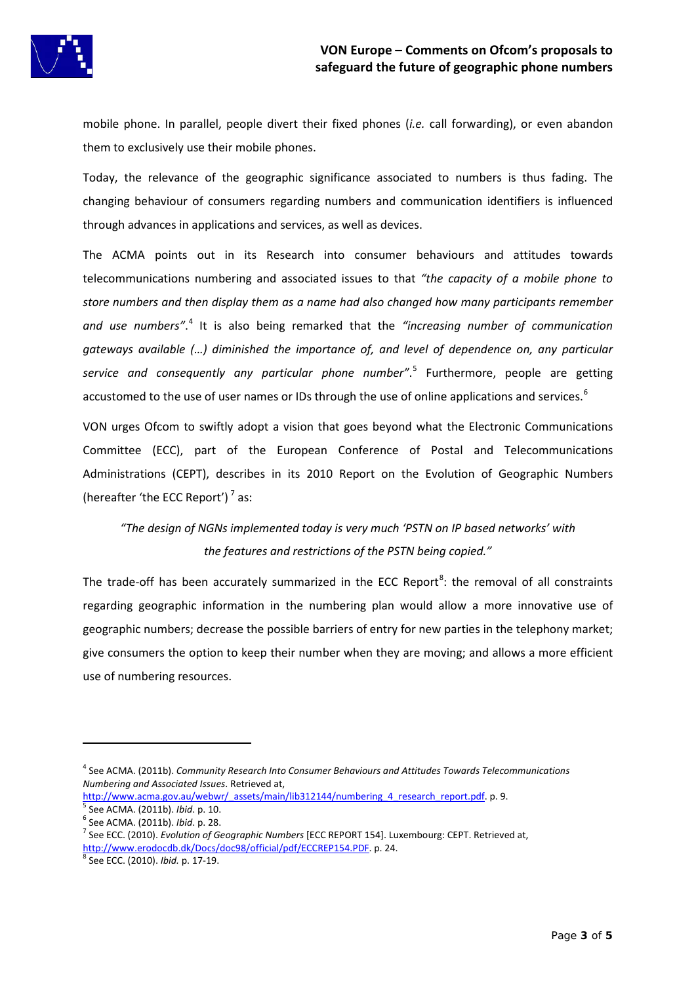

mobile phone. In parallel, people divert their fixed phones (*i.e.* call forwarding), or even abandon them to exclusively use their mobile phones.

Today, the relevance of the geographic significance associated to numbers is thus fading. The changing behaviour of consumers regarding numbers and communication identifiers is influenced through advances in applications and services, as well as devices.

The ACMA points out in its Research into consumer behaviours and attitudes towards telecommunications numbering and associated issues to that *"the capacity of a mobile phone to store numbers and then display them as a name had also changed how many participants remember*  and use numbers".<sup>[4](#page-2-0)</sup> It is also being remarked that the "increasing number of communication *gateways available (…) diminished the importance of, and level of dependence on, any particular service and consequently any particular phone number"*. [5](#page-2-0) Furthermore, people are getting accustomed to the use of user names or IDs through the use of online applications and services.<sup>[6](#page-2-0)</sup>

VON urges Ofcom to swiftly adopt a vision that goes beyond what the Electronic Communications Committee (ECC), part of the European Conference of Postal and Telecommunications Administrations (CEPT), describes in its 2010 Report on the Evolution of Geographic Numbers (hereafter 'the ECC Report') $^7$  $^7$  as:

# *"The design of NGNs implemented today is very much 'PSTN on IP based networks' with the features and restrictions of the PSTN being copied."*

The trade-off has been accurately summarized in the ECC Report<sup>[8](#page-2-0)</sup>: the removal of all constraints regarding geographic information in the numbering plan would allow a more innovative use of geographic numbers; decrease the possible barriers of entry for new parties in the telephony market; give consumers the option to keep their number when they are moving; and allows a more efficient use of numbering resources.

**.** 

<span id="page-2-0"></span><sup>4</sup> See ACMA. (2011b). *Community Research Into Consumer Behaviours and Attitudes Towards Telecommunications Numbering and Associated Issues*. Retrieved at,

[http://www.acma.gov.au/webwr/\\_assets/main/lib312144/numbering\\_4\\_research\\_report.pdf.](http://www.acma.gov.au/webwr/_assets/main/lib312144/numbering_4_research_report.pdf) p. 9.<br>
5 See ACMA. (2011b). *Ibid.* p. 10.<br>
<sup>6</sup> See ACMA. (2011b). *Ibid.* p. 28.<br>
<sup>7</sup> See ECC. (2010). *Evolution of Geographic Numbers* 

[http://www.erodocdb.dk/Docs/doc98/official/pdf/ECCREP154.PDF.](http://www.erodocdb.dk/Docs/doc98/official/pdf/ECCREP154.PDF) p. 24. <sup>8</sup> See ECC. (2010). *Ibid.* p. 17-19.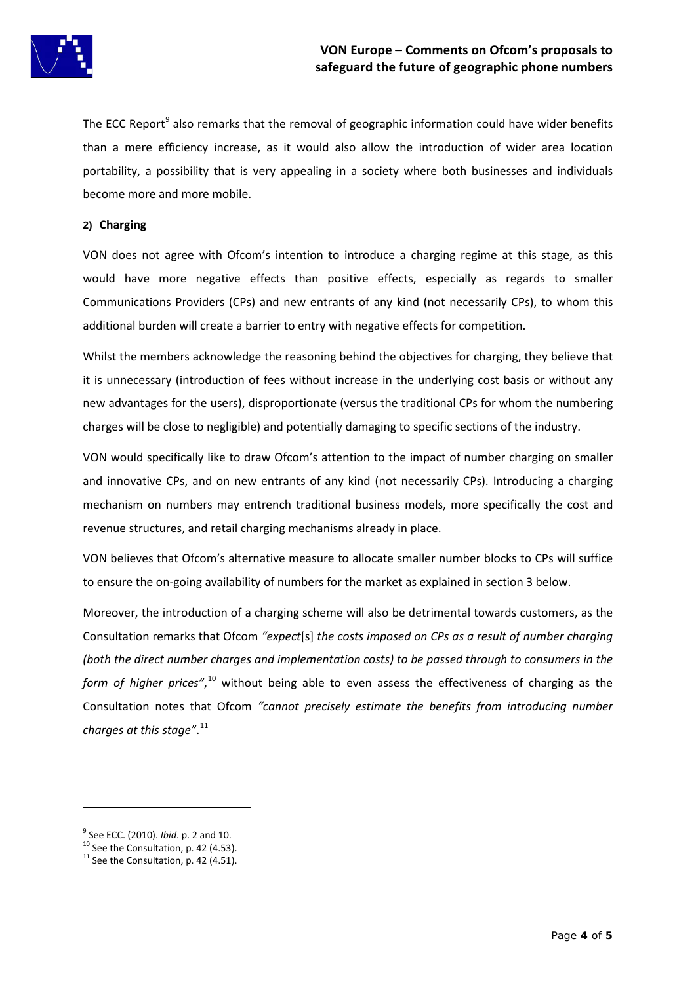

The ECC Report<sup>[9](#page-3-0)</sup> also remarks that the removal of geographic information could have wider benefits than a mere efficiency increase, as it would also allow the introduction of wider area location portability, a possibility that is very appealing in a society where both businesses and individuals become more and more mobile.

### **2) Charging**

VON does not agree with Ofcom's intention to introduce a charging regime at this stage, as this would have more negative effects than positive effects, especially as regards to smaller Communications Providers (CPs) and new entrants of any kind (not necessarily CPs), to whom this additional burden will create a barrier to entry with negative effects for competition.

Whilst the members acknowledge the reasoning behind the objectives for charging, they believe that it is unnecessary (introduction of fees without increase in the underlying cost basis or without any new advantages for the users), disproportionate (versus the traditional CPs for whom the numbering charges will be close to negligible) and potentially damaging to specific sections of the industry.

VON would specifically like to draw Ofcom's attention to the impact of number charging on smaller and innovative CPs, and on new entrants of any kind (not necessarily CPs). Introducing a charging mechanism on numbers may entrench traditional business models, more specifically the cost and revenue structures, and retail charging mechanisms already in place.

VON believes that Ofcom's alternative measure to allocate smaller number blocks to CPs will suffice to ensure the on-going availability of numbers for the market as explained in section 3 below.

Moreover, the introduction of a charging scheme will also be detrimental towards customers, as the Consultation remarks that Ofcom *"expect*[s] *the costs imposed on CPs as a result of number charging (both the direct number charges and implementation costs) to be passed through to consumers in the*  form of higher prices",<sup>[10](#page-3-0)</sup> without being able to even assess the effectiveness of charging as the Consultation notes that Ofcom *"cannot precisely estimate the benefits from introducing number charges at this stage"*. [11](#page-3-0)

 $\overline{a}$ 

<span id="page-3-0"></span><sup>&</sup>lt;sup>9</sup> See ECC. (2010). *Ibid*. p. 2 and 10.<br><sup>10</sup> See the Consultation, p. 42 (4.53).<br><sup>11</sup> See the Consultation, p. 42 (4.51).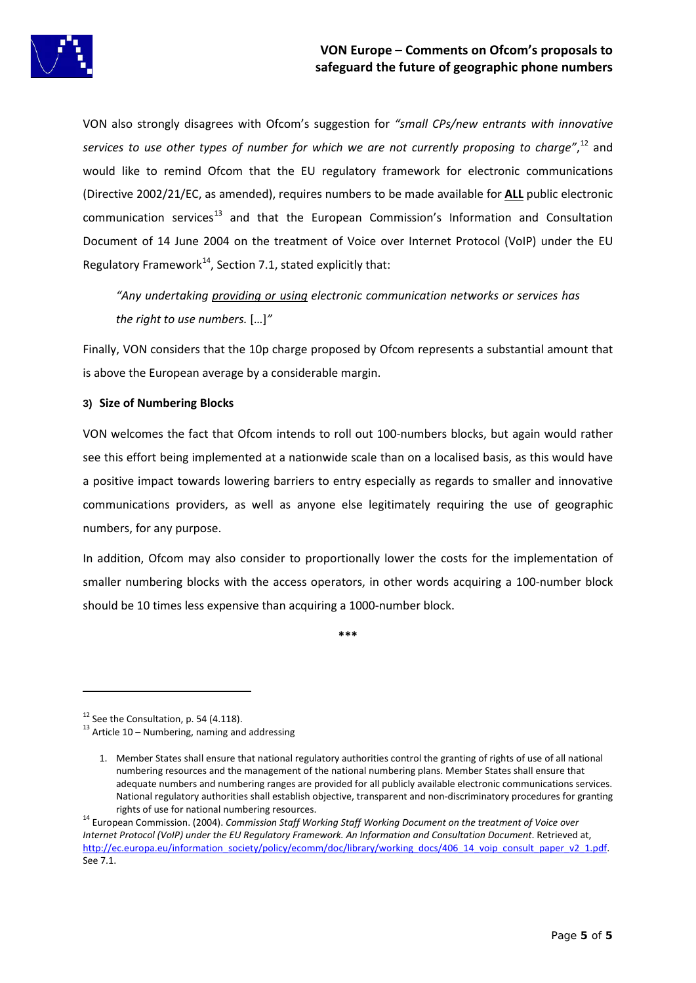

VON also strongly disagrees with Ofcom's suggestion for *"small CPs/new entrants with innovative services to use other types of number for which we are not currently proposing to charge"*, [12](#page-4-0) and would like to remind Ofcom that the EU regulatory framework for electronic communications (Directive 2002/21/EC, as amended), requires numbers to be made available for **ALL** public electronic  $commonization$  services $<sup>13</sup>$  $<sup>13</sup>$  $<sup>13</sup>$  and that the European Commission's Information and Consultation</sup> Document of 14 June 2004 on the treatment of Voice over Internet Protocol (VoIP) under the EU Regulatory Framework<sup>[14](#page-4-0)</sup>, Section 7.1, stated explicitly that:

*"Any undertaking providing or using electronic communication networks or services has the right to use numbers.* […]*"*

Finally, VON considers that the 10p charge proposed by Ofcom represents a substantial amount that is above the European average by a considerable margin.

# **3) Size of Numbering Blocks**

VON welcomes the fact that Ofcom intends to roll out 100-numbers blocks, but again would rather see this effort being implemented at a nationwide scale than on a localised basis, as this would have a positive impact towards lowering barriers to entry especially as regards to smaller and innovative communications providers, as well as anyone else legitimately requiring the use of geographic numbers, for any purpose.

In addition, Ofcom may also consider to proportionally lower the costs for the implementation of smaller numbering blocks with the access operators, in other words acquiring a 100-number block should be 10 times less expensive than acquiring a 1000-number block.

**\*\*\***

1

<span id="page-4-0"></span><sup>&</sup>lt;sup>12</sup> See the Consultation, p. 54 (4.118).<br><sup>13</sup> Article 10 – Numbering, naming and addressing

<sup>1.</sup> Member States shall ensure that national regulatory authorities control the granting of rights of use of all national numbering resources and the management of the national numbering plans. Member States shall ensure that adequate numbers and numbering ranges are provided for all publicly available electronic communications services. National regulatory authorities shall establish objective, transparent and non-discriminatory procedures for granting

rights of use for national numbering resources. <sup>14</sup> European Commission. (2004). *Commission Staff Working Staff Working Document on the treatment of Voice over Internet Protocol (VoIP) under the EU Regulatory Framework. An Information and Consultation Document*. Retrieved at, http://ec.europa.eu/information\_society/policy/ecomm/doc/library/working\_docs/406\_14\_voip\_consult\_paper\_v2\_1.pdf. See 7.1.